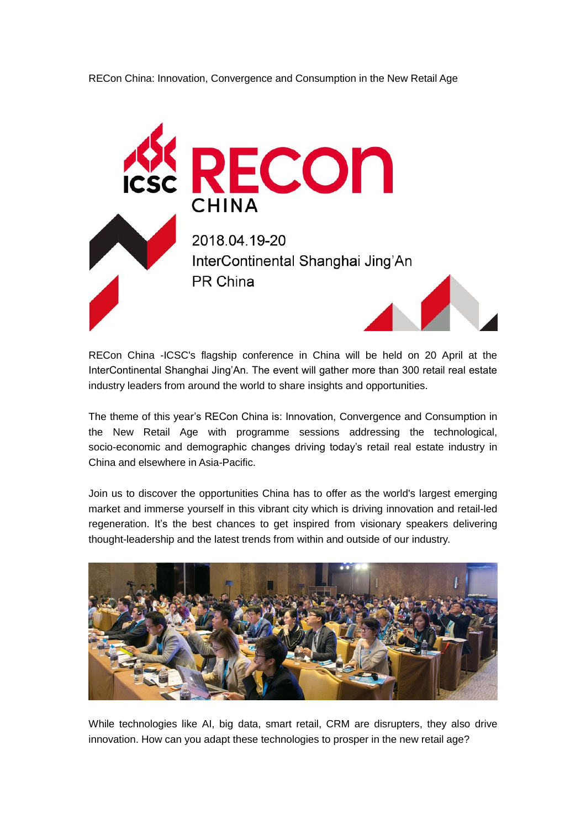



RECon China -ICSC's flagship conference in China will be held on 20 April at the InterContinental Shanghai Jing'An. The event will gather more than 300 retail real estate industry leaders from around the world to share insights and opportunities.

The theme of this year's RECon China is: Innovation, Convergence and Consumption in the New Retail Age with programme sessions addressing the technological, socio-economic and demographic changes driving today's retail real estate industry in China and elsewhere in Asia-Pacific.

Join us to discover the opportunities China has to offer as the world's largest emerging market and immerse yourself in this vibrant city which is driving innovation and retail-led regeneration. It's the best chances to get inspired from visionary speakers delivering thought-leadership and the latest trends from within and outside of our industry.



While technologies like AI, big data, smart retail, CRM are disrupters, they also drive innovation. How can you adapt these technologies to prosper in the new retail age?